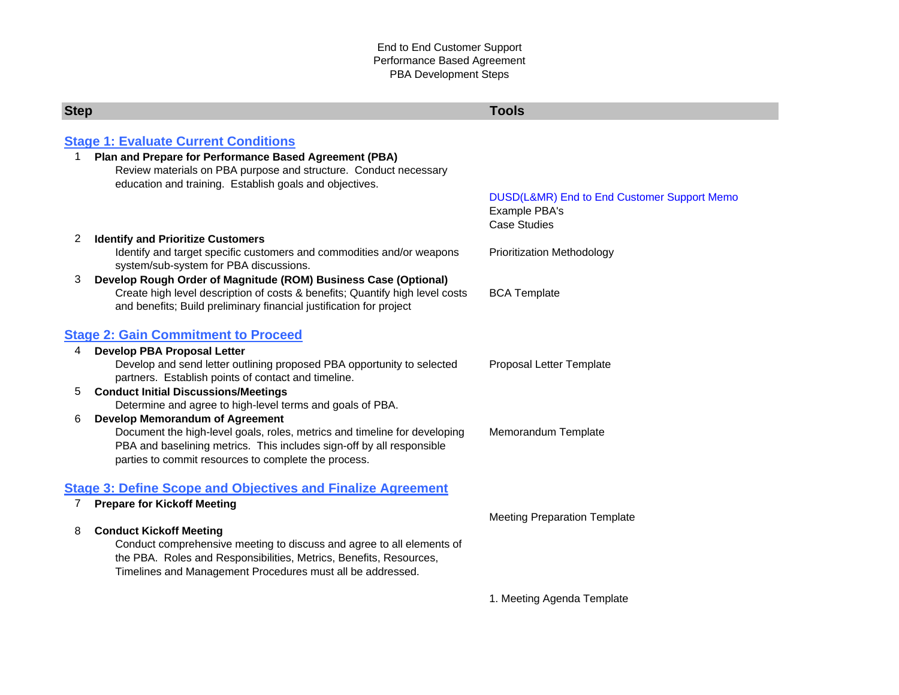<span id="page-0-0"></span>

| <b>Step</b>                                                        |                                                                                                                                                                                                                        | <b>Tools</b>                                                                        |  |
|--------------------------------------------------------------------|------------------------------------------------------------------------------------------------------------------------------------------------------------------------------------------------------------------------|-------------------------------------------------------------------------------------|--|
|                                                                    |                                                                                                                                                                                                                        |                                                                                     |  |
| <b>Stage 1: Evaluate Current Conditions</b>                        |                                                                                                                                                                                                                        |                                                                                     |  |
| 1.                                                                 | Plan and Prepare for Performance Based Agreement (PBA)<br>Review materials on PBA purpose and structure. Conduct necessary<br>education and training. Establish goals and objectives.                                  |                                                                                     |  |
|                                                                    |                                                                                                                                                                                                                        | DUSD(L&MR) End to End Customer Support Memo<br>Example PBA's<br><b>Case Studies</b> |  |
| 2                                                                  | <b>Identify and Prioritize Customers</b>                                                                                                                                                                               |                                                                                     |  |
|                                                                    | Identify and target specific customers and commodities and/or weapons<br>system/sub-system for PBA discussions.                                                                                                        | <b>Prioritization Methodology</b>                                                   |  |
| 3                                                                  | Develop Rough Order of Magnitude (ROM) Business Case (Optional)<br>Create high level description of costs & benefits; Quantify high level costs<br>and benefits; Build preliminary financial justification for project | <b>BCA Template</b>                                                                 |  |
| <b>Stage 2: Gain Commitment to Proceed</b>                         |                                                                                                                                                                                                                        |                                                                                     |  |
| $\overline{4}$                                                     | <b>Develop PBA Proposal Letter</b>                                                                                                                                                                                     |                                                                                     |  |
|                                                                    | Develop and send letter outlining proposed PBA opportunity to selected<br>partners. Establish points of contact and timeline.                                                                                          | Proposal Letter Template                                                            |  |
| 5                                                                  | <b>Conduct Initial Discussions/Meetings</b>                                                                                                                                                                            |                                                                                     |  |
|                                                                    | Determine and agree to high-level terms and goals of PBA.                                                                                                                                                              |                                                                                     |  |
| 6                                                                  | <b>Develop Memorandum of Agreement</b>                                                                                                                                                                                 |                                                                                     |  |
|                                                                    | Document the high-level goals, roles, metrics and timeline for developing                                                                                                                                              | Memorandum Template                                                                 |  |
|                                                                    | PBA and baselining metrics. This includes sign-off by all responsible                                                                                                                                                  |                                                                                     |  |
|                                                                    | parties to commit resources to complete the process.                                                                                                                                                                   |                                                                                     |  |
| <b>Stage 3: Define Scope and Objectives and Finalize Agreement</b> |                                                                                                                                                                                                                        |                                                                                     |  |
| 7                                                                  | <b>Prepare for Kickoff Meeting</b>                                                                                                                                                                                     |                                                                                     |  |
|                                                                    |                                                                                                                                                                                                                        | <b>Meeting Preparation Template</b>                                                 |  |
| 8                                                                  | <b>Conduct Kickoff Meeting</b>                                                                                                                                                                                         |                                                                                     |  |
|                                                                    | Conduct comprehensive meeting to discuss and agree to all elements of                                                                                                                                                  |                                                                                     |  |
|                                                                    | the PBA. Roles and Responsibilities, Metrics, Benefits, Resources,                                                                                                                                                     |                                                                                     |  |
|                                                                    | Timelines and Management Procedures must all be addressed.                                                                                                                                                             |                                                                                     |  |
|                                                                    |                                                                                                                                                                                                                        | 1. Meeting Agenda Template                                                          |  |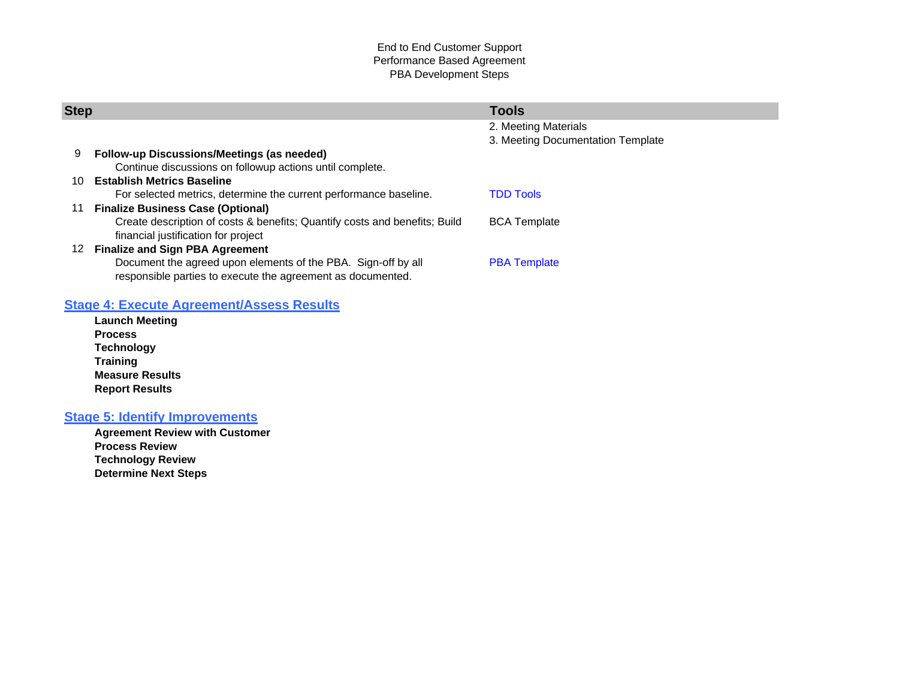#### End to End Customer Support Performance Based Agreement PBA Development Steps

<span id="page-1-0"></span>

|                                                                            | <b>Tools</b>                                          |  |
|----------------------------------------------------------------------------|-------------------------------------------------------|--|
|                                                                            | 2. Meeting Materials                                  |  |
|                                                                            | 3. Meeting Documentation Template                     |  |
| <b>Follow-up Discussions/Meetings (as needed)</b>                          |                                                       |  |
| Continue discussions on followup actions until complete.                   |                                                       |  |
| <b>Establish Metrics Baseline</b>                                          |                                                       |  |
| For selected metrics, determine the current performance baseline.          | <b>TDD Tools</b>                                      |  |
| <b>Finalize Business Case (Optional)</b>                                   |                                                       |  |
| Create description of costs & benefits; Quantify costs and benefits; Build | <b>BCA Template</b>                                   |  |
| financial justification for project                                        |                                                       |  |
|                                                                            |                                                       |  |
| Document the agreed upon elements of the PBA. Sign-off by all              | <b>PBA</b> Template                                   |  |
| responsible parties to execute the agreement as documented.                |                                                       |  |
|                                                                            | <b>Step</b><br><b>Finalize and Sign PBA Agreement</b> |  |

# **[Stage 4: Execute Agreement/Assess Results](#page-5-0)**

**Launch Meeting Process Technology Training Measure Results Report Results**

# **[Stage 5: Identify Improvements](#page-6-0)**

**Agreement Review with Customer Process Review Technology Review Determine Next Steps**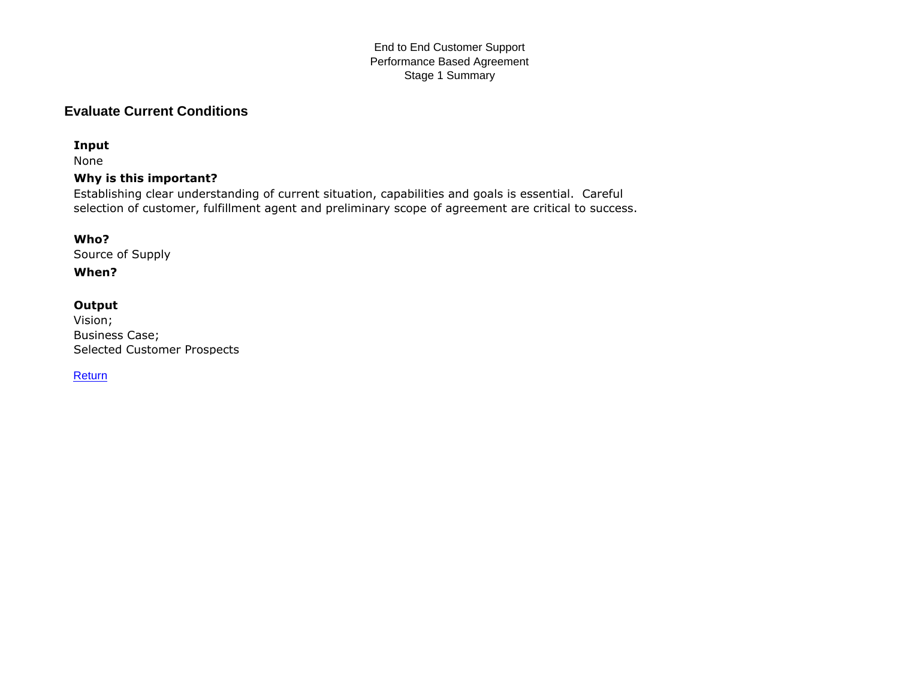#### End to End Customer Support Performance Based Agreement Stage 1 Summary

# <span id="page-2-0"></span>**Evaluate Current Conditions**

### **Input**

None

## **Why is this important?**

Establishing clear understanding of current situation, capabilities and goals is essential. Careful selection of customer, fulfillment agent and preliminary scope of agreement are critical to success.

### **Who?**

Source of Supply

## **When?**

### **Output**

Vision; Business Case; Selected Customer Prospects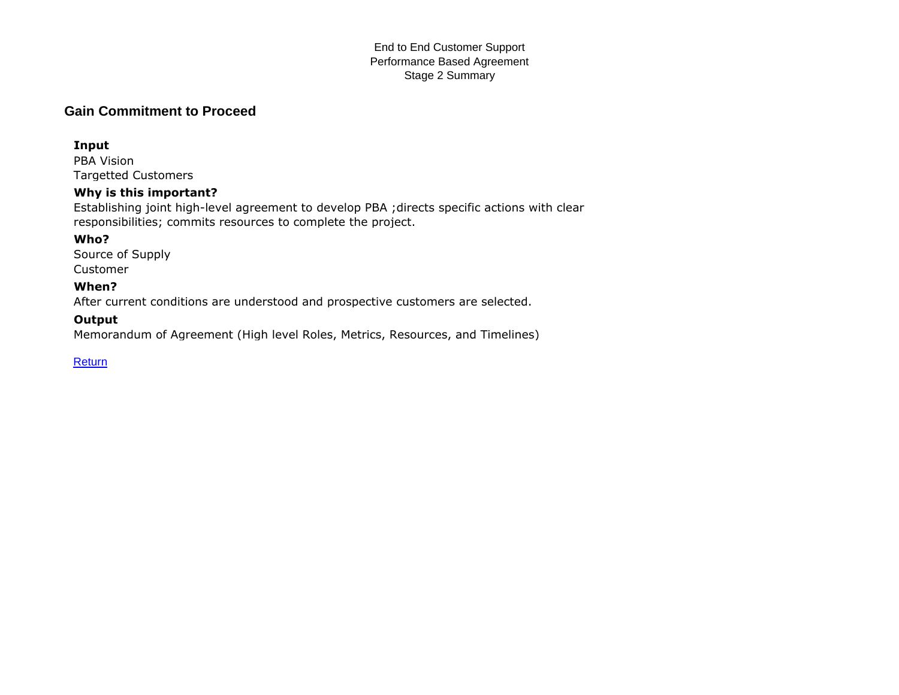#### End to End Customer Support Performance Based Agreement Stage 2 Summary

# <span id="page-3-0"></span>**Gain Commitment to Proceed**

#### **Input**

PBA Vision Targetted Customers

### **Why is this important?**

Establishing joint high-level agreement to develop PBA ;directs specific actions with clear responsibilities; commits resources to complete the project.

## **Who?**

Source of Supply Customer

### **When?**

After current conditions are understood and prospective customers are selected.

### **Output**

Memorandum of Agreement (High level Roles, Metrics, Resources, and Timelines)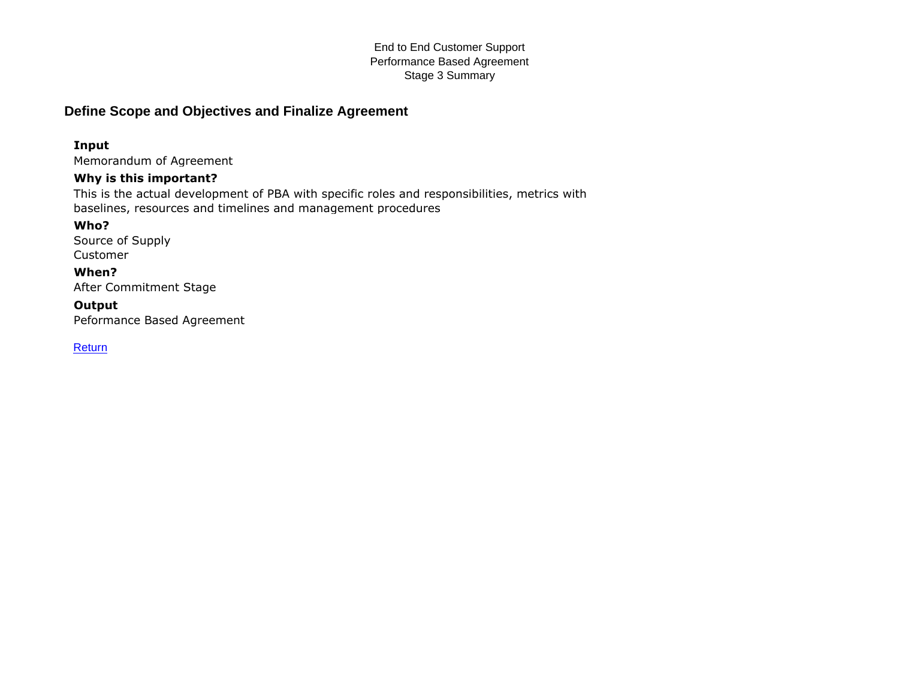#### End to End Customer Support Performance Based Agreement Stage 3 Summary

# <span id="page-4-0"></span>**Define Scope and Objectives and Finalize Agreement**

# **Input**

Memorandum of Agreement

## **Why is this important?**

This is the actual development of PBA with specific roles and responsibilities, metrics with baselines, resources and timelines and management procedures

## **Who?**

Source of Supply Customer

### **When?**

After Commitment Stage

# **Output**

Peformance Based Agreement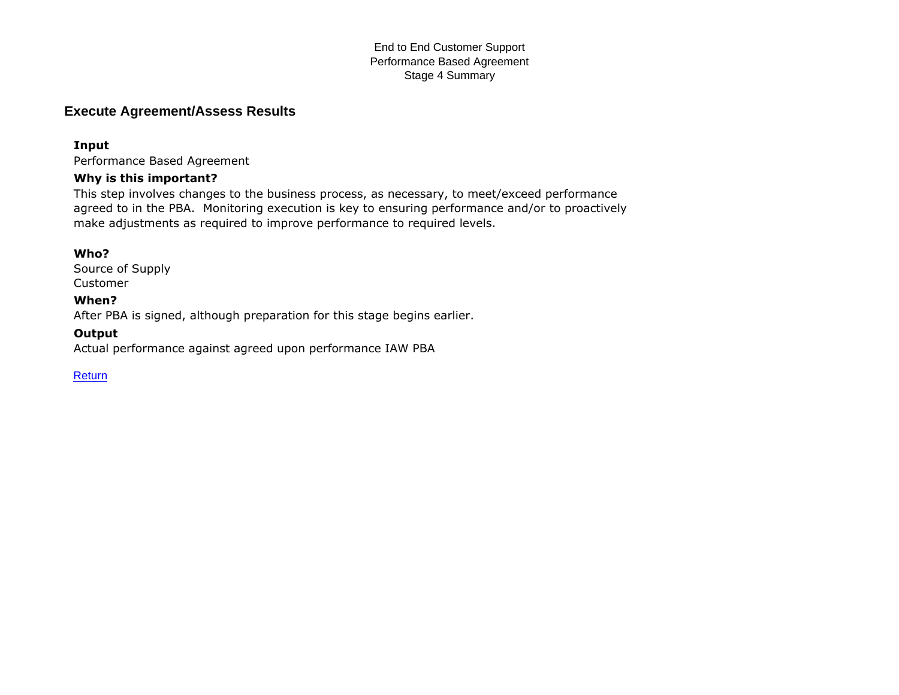#### End to End Customer Support Performance Based Agreement Stage 4 Summary

# <span id="page-5-0"></span>**Execute Agreement/Assess Results**

#### **Input**

Performance Based Agreement

#### **Why is this important?**

This step involves changes to the business process, as necessary, to meet/exceed performance agreed to in the PBA. Monitoring execution is key to ensuring performance and/or to proactively make adjustments as required to improve performance to required levels.

#### **Who?**

Source of Supply Customer

#### **When?**

After PBA is signed, although preparation for this stage begins earlier.

#### **Output**

Actual performance against agreed upon performance IAW PBA